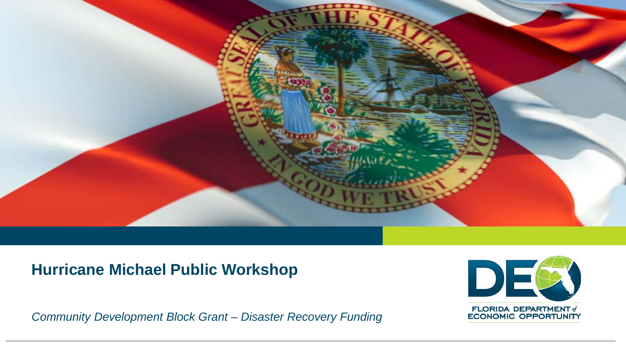

## **Hurricane Michael Public Workshop**

*Community Development Block Grant – Disaster Recovery Funding*

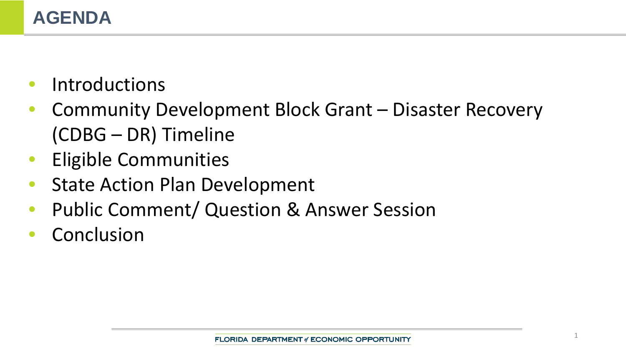- **Introductions**
- Community Development Block Grant Disaster Recovery (CDBG – DR) Timeline
- Eligible Communities
- **State Action Plan Development**
- Public Comment/ Question & Answer Session
- **Conclusion**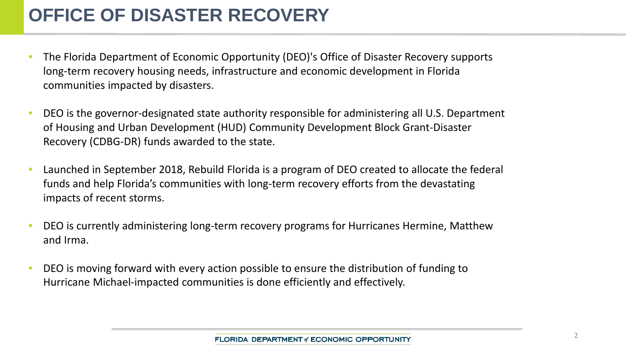# **OFFICE OF DISASTER RECOVERY**

- The Florida Department of Economic Opportunity (DEO)'s Office of Disaster Recovery supports long-term recovery housing needs, infrastructure and economic development in Florida communities impacted by disasters.
- DEO is the governor-designated state authority responsible for administering all U.S. Department of Housing and Urban Development (HUD) Community Development Block Grant-Disaster Recovery (CDBG-DR) funds awarded to the state.
- Launched in September 2018, Rebuild Florida is a program of DEO created to allocate the federal funds and help Florida's communities with long-term recovery efforts from the devastating impacts of recent storms.
- DEO is currently administering long-term recovery programs for Hurricanes Hermine, Matthew and Irma.
- DEO is moving forward with every action possible to ensure the distribution of funding to Hurricane Michael-impacted communities is done efficiently and effectively.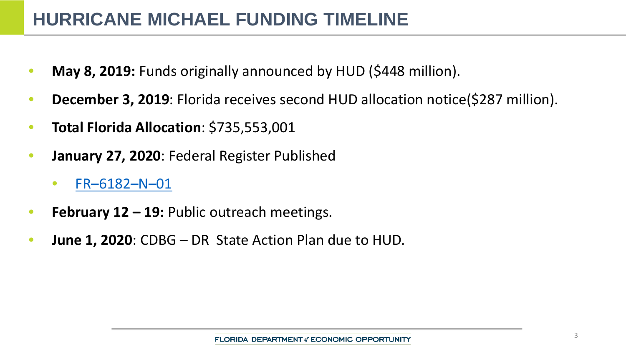## **HURRICANE MICHAEL FUNDING TIMELINE**

- **May 8, 2019:** Funds originally announced by HUD (\$448 million).
- **December 3, 2019**: Florida receives second HUD allocation notice(\$287 million).
- **Total Florida Allocation**: \$735,553,001
- **January 27, 2020**: Federal Register Published
	- [FR–6182–N–01](https://www.govinfo.gov/content/pkg/FR-2020-01-27/pdf/2020-01204.pdf)
- **February 12 – 19:** Public outreach meetings.
- **June 1, 2020**: CDBG DR State Action Plan due to HUD.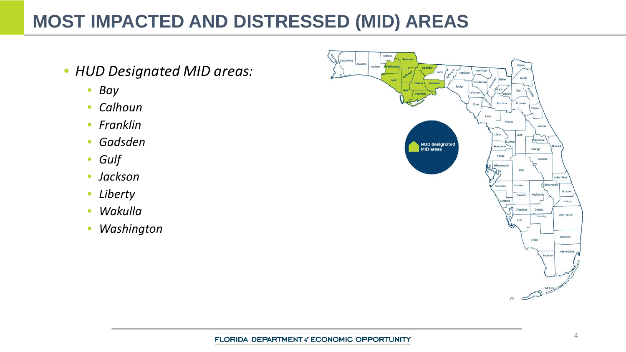# **MOST IMPACTED AND DISTRESSED (MID) AREAS**

- *HUD Designated MID areas:*
	- *Bay*
	- *Calhoun*
	- *Franklin*
	- *Gadsden*
	- *Gulf*
	- *Jackson*
	- *Liberty*
	- *Wakulla*
	- *Washington*

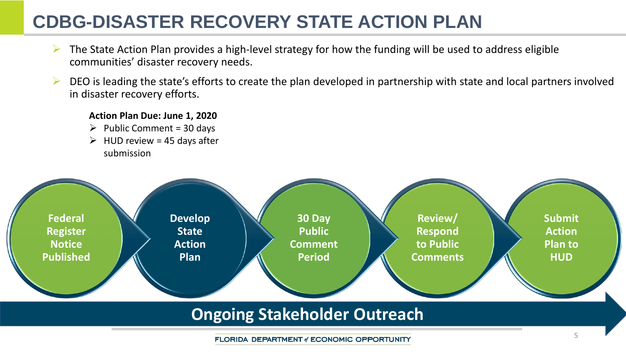# **CDBG-DISASTER RECOVERY STATE ACTION PLAN**

- The State Action Plan provides a high-level strategy for how the funding will be used to address eligible communities' disaster recovery needs.
- DEO is leading the state's efforts to create the plan developed in partnership with state and local partners involved in disaster recovery efforts.

#### **Action Plan Due: June 1, 2020**

- $\triangleright$  Public Comment = 30 days
- $\triangleright$  HUD review = 45 days after submission



### **Ongoing Stakeholder Outreach**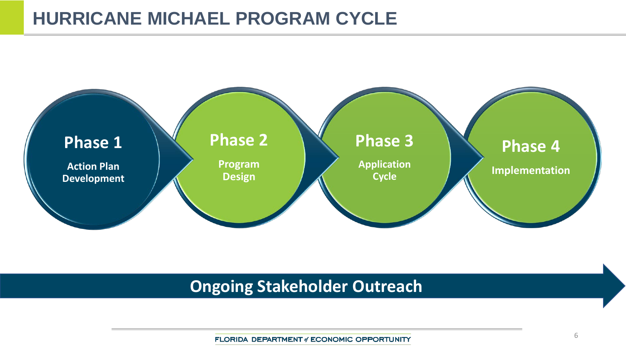## **HURRICANE MICHAEL PROGRAM CYCLE**



## **Ongoing Stakeholder Outreach**